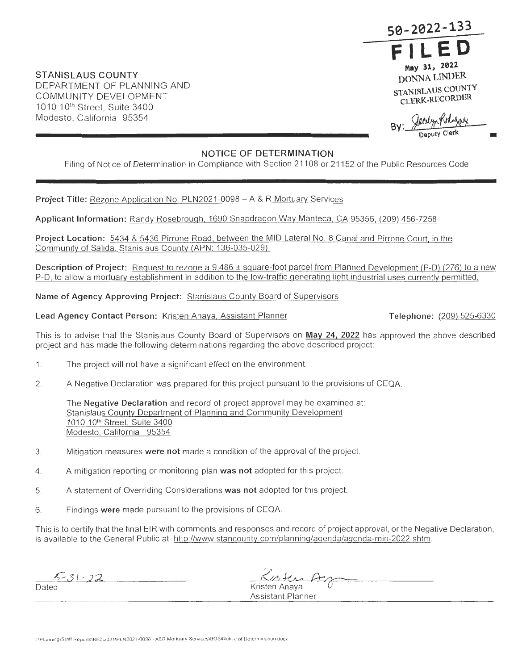**50-2022-'133 FILED May 31, 2022** 

**DONNA LINDER STANISLAUS COUNTY CLERK-RECORDER** 

Jeculyn Kohngas

# **NOTICE OF DETERMINATION**

Filing of Notice of Determination in Compliance with Section 21108 or 21152 of the Public Resources Code

**Project Title:** Rezone Application No. PLN2021 -0098 - A & R Mortuary Services

**Applicant Information:** Randy Rosebrough, 1690 Snapdragon Way Manteca, CA 95356, (209) 456-7258

Project Location: 5434 & 5436 Pirrone Road, between the MID Lateral No. 8 Canal and Pirrone Court, in the Community of Salida. Stanislaus County (APN: 136-035-029).

**Description of Project:** Request to rezone a 9,486 ± square-foot parcel from Planned Development (P-D) (276) to a new P-D, to allow a mortuary establishment in addition to the low-traffic generating light industrial uses currently permitted.

**Name of Agency Approving Project:** Stanislaus County Board of Supervisors

# Lead Agency Contact Person: Kristen Anaya, Assistant Planner **Telephone:** (209) 525-6330

**STANISLAUS COUNTY** 

DEPARTMENT OF PLANNING AND COMMUNITY DEVELOPMENT 1010 10<sup>th</sup> Street, Suite 3400 Modesto, California 95354

This is to advise that the Stanislaus County Board of Supervisors on **May 24, 2022** has approved the above described project and has made the following determinations regarding the above described project:

- 1. The project will not have a significant effect on the environment.
- 2. A Negative Declaration was prepared for this project pursuant to the provisions of CEQA

The **Negative Declaration** and record of project approval may be examined at: Stanislaus County Department of Planning and Community Development 1010 10<sup>th</sup> Street, Suite 3400 Modesto, California 95354

- 3. Mitigation measures were not made a condition of the approval of the project.
- 4. A mitigation reporting or monitoring plan **was not** adopted for this project.
- 5 A statement of Overriding Consideration s **was not** adopted for this project.
- 6. Findings were made pursuant to the provisions of CEQA.

This is to certify that the final EIR with comments and responses and record of project approval, or the Negative Declaration, is available to the General Public at http://www.stancounty.com/planning/agenda/agenda-min-2022.shtm.

*<u>5-31-22</u>*<br>Dated

11 terra Ar Kristen Anaya

Assistant Planner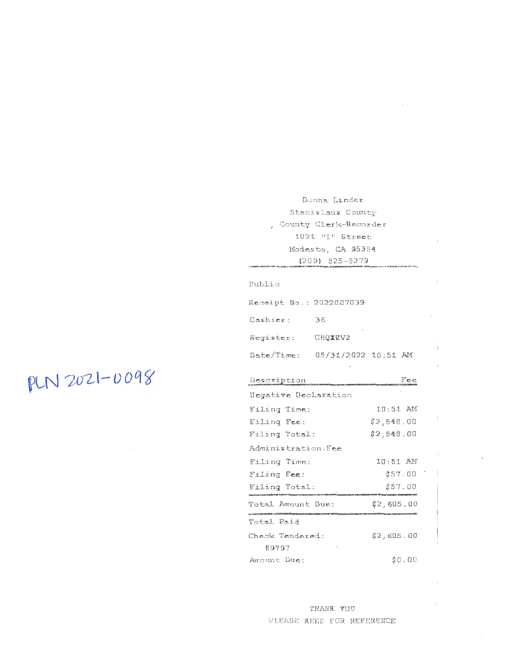Donna Linder Stanislaus County , County Clerk-Recorder  $1021$  "I" Street Modesto, CA 95354  $(209) 525 - 5279$ 

 $\mathbf{L}$ 

÷

 $\ddot{\mathrm{r}}$ 

Fublic

| Remeipt Na.: 2022087039        |         |  |
|--------------------------------|---------|--|
| Cashier:                       | 36      |  |
| Register:                      | CHOIZV2 |  |
| Date/Time: 05/31/2022 10:51 AM |         |  |

 $_{\rm t}$ 

PLN 2021-0098

| Description          |            |
|----------------------|------------|
| Negative Declaration |            |
| Filing Time:         | 10:51 AM   |
| Filing Fee:          | \$2,548.00 |
| Filing Total:        | \$2,548.00 |
| Administration.Fee   |            |
| Filing Time:         | 10:51 AM   |
| Eiling Fee:          | \$57.00    |
| Filing Total:        | \$57.00    |
| Total Amount Due:    | \$2,605.00 |
| Total Paid           |            |
| Chemic Tendered:     | \$2,685.88 |
| #9797                |            |
| Ampunt Due:          | \$8.QQ     |

THANK YOU PLEAGE KEEP FOR REFERENCE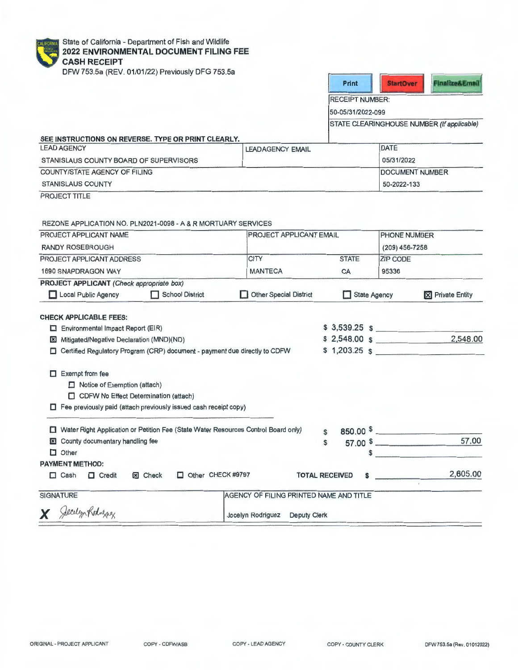| <b>ALIFORNIA:</b> | Sta |
|-------------------|-----|
|                   | 20  |
|                   | СZ  |
|                   | nF  |

ate of California - Department of Fish and Wildlife **2022 ENVIRONMENTAL DOCUMENT FILING FEE ASH RECEIPT** 

DFW 753.5a (REV. 01/01/22) Previously DFG 753.5a

| Print | <b>TELE</b> |  |
|-------|-------------|--|
|       |             |  |

RECEIPT NUMBER:

50-05/31 /2022-099

STATE CLEARINGHOUSE NUMBER (If applicable)

| SEE INSTRUCTIONS ON REVERSE. TYPE OR PRINT CLEARLY. |                         |                         |  |  |
|-----------------------------------------------------|-------------------------|-------------------------|--|--|
| <b>LEAD AGENCY</b>                                  | <b>LEADAGENCY EMAIL</b> | DATE                    |  |  |
| STANISLAUS COUNTY BOARD OF SUPERVISORS              |                         | 05/31/2022              |  |  |
| COUNTY/STATE AGENCY OF FILING                       |                         | <b>IDOCUMENT NUMBER</b> |  |  |
| <b>STANISLAUS COUNTY</b>                            |                         | 50-2022-133             |  |  |

PROJECT TITLE

REZONE APPLICATION NO. PLN2021 -0098 - A & R MORTUARY SERVICES

| PROJECT APPLICANT NAME                                                             | <b>PROJECT APPLICANT EMAIL</b>          |                            | PHONE NUMBER    |                                |
|------------------------------------------------------------------------------------|-----------------------------------------|----------------------------|-----------------|--------------------------------|
| <b>RANDY ROSEBROUGH</b>                                                            |                                         |                            | (209) 456-7258  |                                |
| PROJECT APPLICANT ADDRESS                                                          | <b>CITY</b>                             | <b>STATE</b>               | <b>ZIP CODE</b> |                                |
| <b>1690 SNAPDRAGON WAY</b>                                                         | <b>MANTECA</b>                          | CA                         | 95336           |                                |
| PROJECT APPLICANT (Check appropriate box)                                          |                                         |                            |                 |                                |
| Local Public Agency<br><b>School District</b><br>$\mathbf{1}$                      | Other Special District                  | <b>State Agency</b>        |                 | <b>X</b> Private Entity        |
| <b>CHECK APPLICABLE FEES:</b>                                                      |                                         |                            |                 |                                |
| $\Box$ Environmental Impact Report (EIR)                                           |                                         | $$3,539.25$ \$             |                 |                                |
| Mitigated/Negative Declaration (MND)(ND)<br>×                                      |                                         | $$2,548.00$$ $$$           |                 | 2,548.00                       |
| Certified Regulatory Program (CRP) document - payment due directly to CDFW<br>□    |                                         |                            |                 | $$1,203.25$ \$                 |
|                                                                                    |                                         |                            |                 |                                |
| <b>Exempt from fee</b><br>ш                                                        |                                         |                            |                 |                                |
| $\Box$ Notice of Exemption (attach)                                                |                                         |                            |                 |                                |
| CDFW No Effect Determination (attach)                                              |                                         |                            |                 |                                |
| $\Box$ Fee previously paid (attach previously issued cash receipt copy)            |                                         |                            |                 |                                |
|                                                                                    |                                         |                            |                 |                                |
| Water Right Application or Petition Fee (State Water Resources Control Board only) |                                         | Ŝ.                         |                 | $850.00$ $\frac{1}{2}$         |
| County documentary handling fee<br>区                                               |                                         | \$                         |                 | 57.00<br>$57.00$ $\frac{1}{2}$ |
| $\Box$ Other                                                                       |                                         | \$                         |                 |                                |
| <b>PAYMENT METHOD:</b>                                                             |                                         |                            |                 |                                |
| Other CHECK #9797<br><b>E</b> Check<br>$\Box$ Cash<br>$\Box$ Credit                |                                         | <b>TOTAL RECEIVED</b><br>s |                 | 2,605.00                       |
| <b>SIGNATURE</b>                                                                   | AGENCY OF FILING PRINTED NAME AND TITLE |                            |                 |                                |
| Jecelyn Rohnessey                                                                  | Jocelyn Rodriguez Deputy Clerk          |                            |                 |                                |